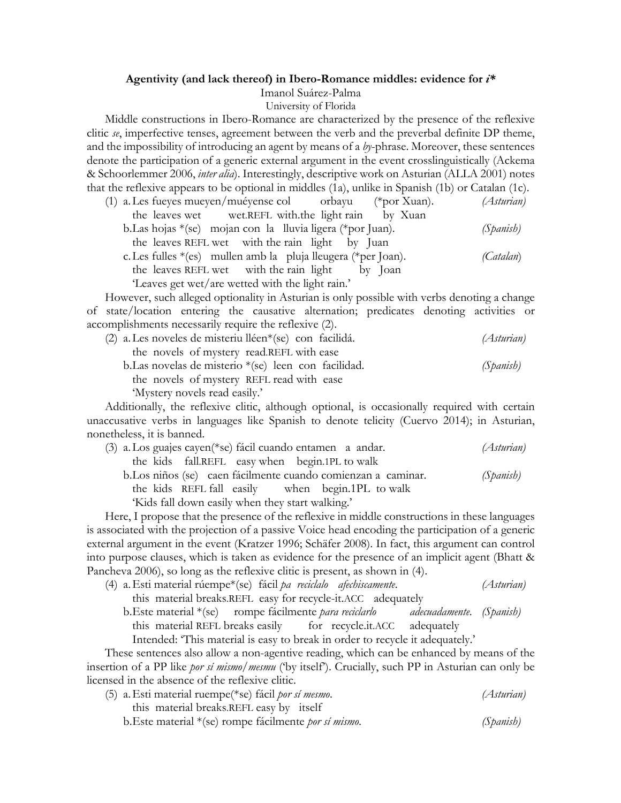## **Agentivity (and lack thereof) in Ibero-Romance middles: evidence for** *i\**

## Imanol Suárez-Palma

University of Florida

Middle constructions in Ibero-Romance are characterized by the presence of the reflexive clitic *se*, imperfective tenses, agreement between the verb and the preverbal definite DP theme, and the impossibility of introducing an agent by means of a *by*-phrase. Moreover, these sentences denote the participation of a generic external argument in the event crosslinguistically (Ackema & Schoorlemmer 2006, *inter alia*). Interestingly, descriptive work on Asturian (ALLA 2001) notes that the reflexive appears to be optional in middles (1a), unlike in Spanish (1b) or Catalan (1c).

| (1) a. Les fueyes mueyen/muéyense col orbayu<br>(*por Xuan).    | (Asturian) |
|-----------------------------------------------------------------|------------|
| the leaves wet wet.REFL with the light rain by Xuan             |            |
| b. Las hojas $*(se)$ mojan con la lluvia ligera (*por Juan).    | (Spanish)  |
| the leaves REFL wet with the rain light by Juan                 |            |
| c. Les fulles $*(es)$ mullen amb la pluja lleugera (*per Joan). | (Catalan)  |
| the leaves REFL wet with the rain light by Joan                 |            |
| 'Leaves get wet/are wetted with the light rain.'                |            |

However, such alleged optionality in Asturian is only possible with verbs denoting a change of state/location entering the causative alternation; predicates denoting activities or accomplishments necessarily require the reflexive (2).

| $(2)$ a. Les noveles de misteriu lléen $*(se)$ con facilidá. | (Asturian) |
|--------------------------------------------------------------|------------|
| the novels of mystery read. REFL with ease                   |            |
| b. Las novelas de misterio $*(se)$ leen con facilidad.       | (Spanish)  |
| the novels of mystery REFL read with ease                    |            |
| 'Mystery novels read easily.'                                |            |

Additionally, the reflexive clitic, although optional, is occasionally required with certain unaccusative verbs in languages like Spanish to denote telicity (Cuervo 2014); in Asturian, nonetheless, it is banned.

| (3) a. Los guajes cayen (*se) fácil cuando entamen a andar.   | (Asturian) |
|---------------------------------------------------------------|------------|
| the kids fall.REFL easy when begin.1PL to walk                |            |
| b. Los niños (se) caen fácilmente cuando comienzan a caminar. | (Spanish)  |
| the kids REFL fall easily when begin.1PL to walk              |            |
| 'Kids fall down easily when they start walking.'              |            |

Here, I propose that the presence of the reflexive in middle constructions in these languages is associated with the projection of a passive Voice head encoding the participation of a generic external argument in the event (Kratzer 1996; Schäfer 2008). In fact, this argument can control into purpose clauses, which is taken as evidence for the presence of an implicit agent (Bhatt & Pancheva 2006), so long as the reflexive clitic is present, as shown in (4).

- (4) a.Esti material rúempe\*(se) fácil *pa reciclalo afechiscamente*. *(Asturian)*
	- this material breaks.REFL easy for recycle-it.ACC adequately b.Este material \*(se) rompe fácilmente *para reciclarlo adecuadamente*. *(Spanish)* this material REFL breaks easily for recycle.it.ACC adequately Intended: 'This material is easy to break in order to recycle it adequately.'

These sentences also allow a non-agentive reading, which can be enhanced by means of the insertion of a PP like *por sí mismo/mesmu* ('by itself'). Crucially, such PP in Asturian can only be licensed in the absence of the reflexive clitic.

| (5) a. Esti material ruempe (*se) fácil <i>por sí mesmo</i> .   | (Asturian) |
|-----------------------------------------------------------------|------------|
| this material breaks. REFL easy by itself                       |            |
| b. Este material $*(se)$ rompe fácilmente <i>por sí mismo</i> . | (Spanish)  |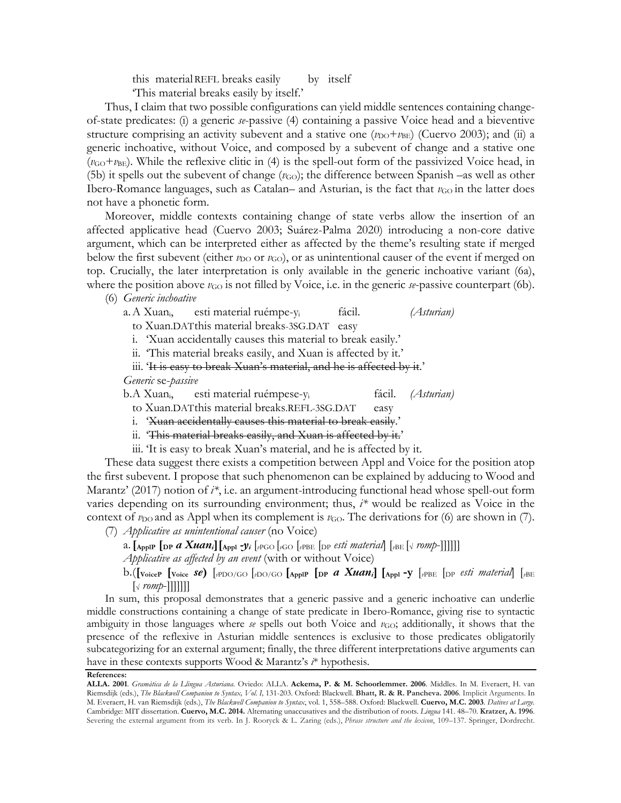this materialREFL breaks easily by itself 'This material breaks easily by itself.'

Thus, I claim that two possible configurations can yield middle sentences containing changeof-state predicates: (i) a generic *se*-passive (4) containing a passive Voice head and a bieventive structure comprising an activity subevent and a stative one  $(v_{\text{DO}}+v_{\text{BE}})$  (Cuervo 2003); and (ii) a generic inchoative, without Voice, and composed by a subevent of change and a stative one  $(v<sub>GO</sub>+v<sub>BE</sub>)$ . While the reflexive clitic in (4) is the spell-out form of the passivized Voice head, in (5b) it spells out the subevent of change  $(v_{\text{GO}})$ ; the difference between Spanish –as well as other Ibero-Romance languages, such as Catalan– and Asturian, is the fact that *v*<sub>GO</sub> in the latter does not have a phonetic form.

Moreover, middle contexts containing change of state verbs allow the insertion of an affected applicative head (Cuervo 2003; Suárez-Palma 2020) introducing a non-core dative argument, which can be interpreted either as affected by the theme's resulting state if merged below the first subevent (either  $v_{\text{DO}}$  or  $v_{\text{GO}}$ ), or as unintentional causer of the event if merged on top. Crucially, the later interpretation is only available in the generic inchoative variant (6a), where the position above  $\nu_{\text{GO}}$  is not filled by Voice, i.e. in the generic  $\kappa$ -passive counterpart (6b).

(6) *Generic inchoative*

a.A Xuani, esti material ruémpe-yi fácil. *(Asturian)*

to Xuan.DATthis material breaks-3SG.DAT easy

i. 'Xuan accidentally causes this material to break easily.'

ii. 'This material breaks easily, and Xuan is affected by it.'

iii. 'It is easy to break Xuan's material, and he is affected by it.'

*Generic* se-*passive*

b.A Xuani, esti material ruémpese-yi fácil. *(Asturian)*

to Xuan.DATthis material breaks.REFL-3SG.DAT easy

i. 'Xuan accidentally causes this material to break easily.'

ii. 'This material breaks easily, and Xuan is affected by it.'

iii. 'It is easy to break Xuan's material, and he is affected by it.

These data suggest there exists a competition between Appl and Voice for the position atop the first subevent. I propose that such phenomenon can be explained by adducing to Wood and Marantz' (2017) notion of *i\**, i.e. an argument-introducing functional head whose spell-out form varies depending on its surrounding environment; thus, *i\** would be realized as Voice in the context of  $\nu_{\text{DO}}$  and as Appl when its complement is  $\nu_{\text{GO}}$ . The derivations for (6) are shown in (7). (7) *Applicative as unintentional causer* (no Voice)

a.  $\left[\text{AppIP} \left[\text{DP} \text{ } a \text{ } \text{Xuan}_i\right]\right] \left[\text{App1 -}y_i\right]_{i \in \text{PO}} \left[\text{CPO} \left[\text{PO} \left[\text{ } p \text{ } \text{ } s \text{ } \text{ } bi \text{ } material\right]\right] \left[\text{PBE} \left[\text{ } v \text{ } romp-1 \right]\right]\right]\right]$ 

*Applicative as affected by an event* (with or without Voice)

b.(**[VoiceP [Voice** *se***)** [*v*PDO/GO [*v*DO/GO **[ApplP [DP** *a Xuani***] [Appl -y** [*v*PBE [DP *esti material*] [*v*BE  $\sqrt{r}$  *romp*-[[[[[[

In sum, this proposal demonstrates that a generic passive and a generic inchoative can underlie middle constructions containing a change of state predicate in Ibero-Romance, giving rise to syntactic ambiguity in those languages where *se* spells out both Voice and  $v_{GO}$ ; additionally, it shows that the presence of the reflexive in Asturian middle sentences is exclusive to those predicates obligatorily subcategorizing for an external argument; finally, the three different interpretations dative arguments can have in these contexts supports Wood & Marantz's *i*\* hypothesis.

## **References:**

**ALLA. 2001**. *Gramática de la Llingua Asturiana.* Oviedo: ALLA. **Ackema, P. & M. Schoorlemmer. 2006**. Middles. In M. Everaert, H. van Riemsdijk (eds.), *The Blackwell Companion to Syntax, Vol. I,* 131-203. Oxford: Blackwell. **Bhatt, R. & R. Pancheva. 2006**. Implicit Arguments. In M. Everaert, H. van Riemsdijk (eds.), *The Blackwell Companion to Syntax*, vol. 1, 558–588. Oxford: Blackwell. **Cuervo, M.C. 2003**. *Datives at Large.*  Cambridge: MIT dissertation. **Cuervo, M.C. 2014.** Alternating unaccusatives and the distribution of roots. *Lingua* 141. 48–70. **Kratzer, A. 1996**. Severing the external argument from its verb. In J. Rooryck & L. Zaring (eds.), *Phrase structure and the lexicon*, 109–137. Springer, Dordrecht.